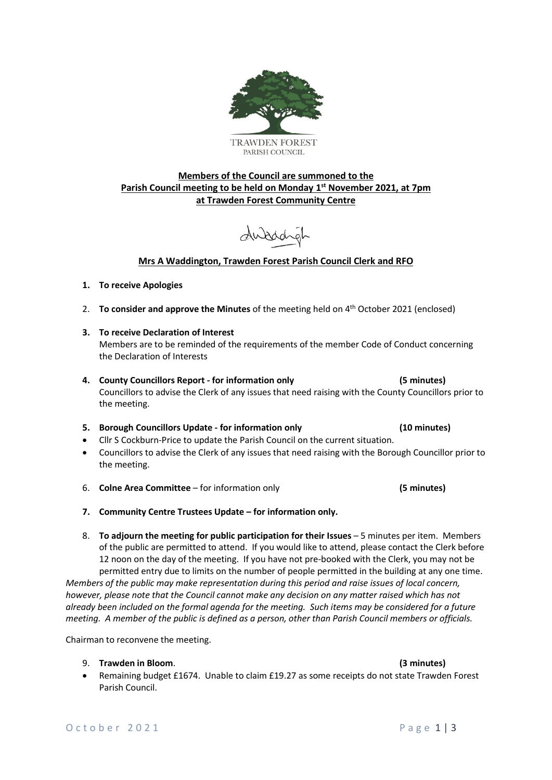

### **Members of the Council are summoned to the Parish Council meeting to be held on Monday 1 st November 2021, at 7pm at Trawden Forest Community Centre**

duaddyl

### **Mrs A Waddington, Trawden Forest Parish Council Clerk and RFO**

### **1. To receive Apologies**

- 2. **To consider and approve the Minutes** of the meeting held on 4 th October 2021 (enclosed)
- **3. To receive Declaration of Interest**  Members are to be reminded of the requirements of the member Code of Conduct concerning the Declaration of Interests
- **4. County Councillors Report - for information only (5 minutes)** Councillors to advise the Clerk of any issues that need raising with the County Councillors prior to the meeting.

### **5. Borough Councillors Update - for information only (10 minutes)**

- Cllr S Cockburn-Price to update the Parish Council on the current situation.
- Councillors to advise the Clerk of any issues that need raising with the Borough Councillor prior to the meeting.

6. **Colne Area Committee** – for information only **(5 minutes)**

- **7. Community Centre Trustees Update – for information only.**
- 8. **To adjourn the meeting for public participation for their Issues** 5 minutes per item. Members of the public are permitted to attend. If you would like to attend, please contact the Clerk before 12 noon on the day of the meeting. If you have not pre-booked with the Clerk, you may not be permitted entry due to limits on the number of people permitted in the building at any one time. *Members of the public may make representation during this period and raise issues of local concern,*

*however, please note that the Council cannot make any decision on any matter raised which has not already been included on the formal agenda for the meeting. Such items may be considered for a future meeting. A member of the public is defined as a person, other than Parish Council members or officials.*

Chairman to reconvene the meeting.

### 9. **Trawden in Bloom**. **(3 minutes)**

• Remaining budget £1674. Unable to claim £19.27 as some receipts do not state Trawden Forest Parish Council.

### O c t o b e r 2021 P a g e 1 | 3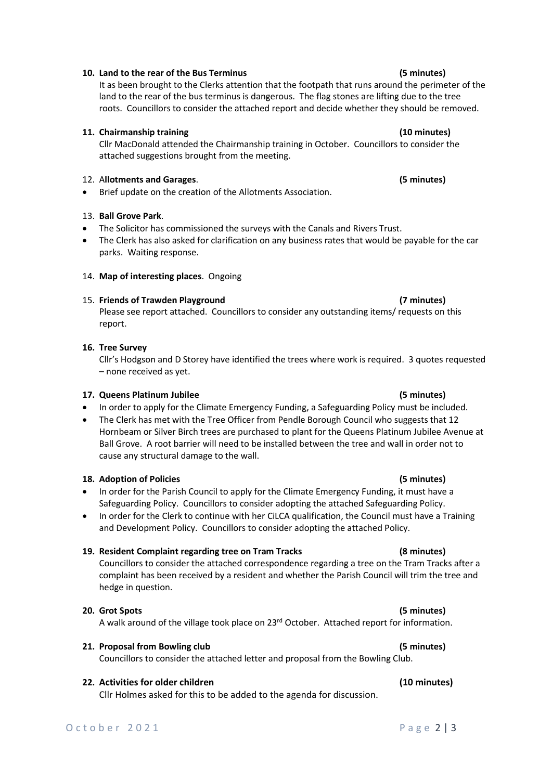### **10. Land to the rear of the Bus Terminus (5 minutes)**

It as been brought to the Clerks attention that the footpath that runs around the perimeter of the land to the rear of the bus terminus is dangerous. The flag stones are lifting due to the tree roots. Councillors to consider the attached report and decide whether they should be removed.

### **11. Chairmanship training (10 minutes)**

Cllr MacDonald attended the Chairmanship training in October. Councillors to consider the attached suggestions brought from the meeting.

## 12. A**llotments and Garages**. **(5 minutes)**

• Brief update on the creation of the Allotments Association.

# 13. **Ball Grove Park**.

- The Solicitor has commissioned the surveys with the Canals and Rivers Trust.
- The Clerk has also asked for clarification on any business rates that would be payable for the car parks. Waiting response.

# 14. **Map of interesting places**. Ongoing

# 15. **Friends of Trawden Playground (7 minutes)**

Please see report attached. Councillors to consider any outstanding items/ requests on this report.

# **16. Tree Survey**

Cllr's Hodgson and D Storey have identified the trees where work is required. 3 quotes requested – none received as yet.

## **17. Queens Platinum Jubilee (5 minutes)**

- In order to apply for the Climate Emergency Funding, a Safeguarding Policy must be included.
- The Clerk has met with the Tree Officer from Pendle Borough Council who suggests that 12 Hornbeam or Silver Birch trees are purchased to plant for the Queens Platinum Jubilee Avenue at Ball Grove. A root barrier will need to be installed between the tree and wall in order not to cause any structural damage to the wall.

# **18. Adoption of Policies (5 minutes)**

- In order for the Parish Council to apply for the Climate Emergency Funding, it must have a Safeguarding Policy. Councillors to consider adopting the attached Safeguarding Policy.
- In order for the Clerk to continue with her CiLCA qualification, the Council must have a Training and Development Policy. Councillors to consider adopting the attached Policy.

# **19. Resident Complaint regarding tree on Tram Tracks (8 minutes)**

Councillors to consider the attached correspondence regarding a tree on the Tram Tracks after a complaint has been received by a resident and whether the Parish Council will trim the tree and hedge in question.

# **20. Grot Spots (5 minutes)**

A walk around of the village took place on 23rd October. Attached report for information.

### **21. Proposal from Bowling club (5 minutes)**

Councillors to consider the attached letter and proposal from the Bowling Club.

# **22. Activities for older children (10 minutes)**

Cllr Holmes asked for this to be added to the agenda for discussion.